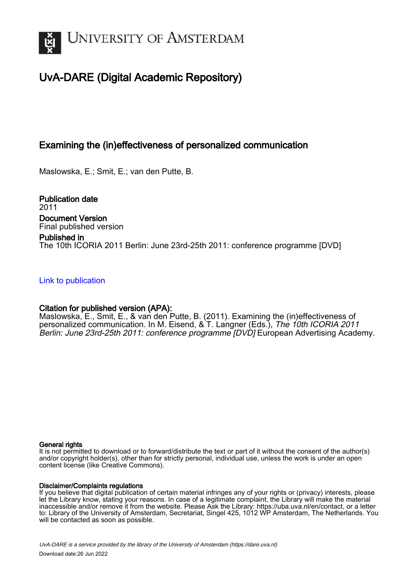

# UvA-DARE (Digital Academic Repository)

## Examining the (in)effectiveness of personalized communication

Maslowska, E.; Smit, E.; van den Putte, B.

Publication date 2011 Document Version Final published version Published in The 10th ICORIA 2011 Berlin: June 23rd-25th 2011: conference programme [DVD]

## [Link to publication](https://dare.uva.nl/personal/pure/en/publications/examining-the-ineffectiveness-of-personalized-communication(be5a4684-8d9d-4b2e-a251-06c81ce35386).html)

## Citation for published version (APA):

Maslowska, E., Smit, E., & van den Putte, B. (2011). Examining the (in)effectiveness of personalized communication. In M. Eisend, & T. Langner (Eds.), The 10th ICORIA 2011 Berlin: June 23rd-25th 2011: conference programme [DVD] European Advertising Academy.

#### General rights

It is not permitted to download or to forward/distribute the text or part of it without the consent of the author(s) and/or copyright holder(s), other than for strictly personal, individual use, unless the work is under an open content license (like Creative Commons).

#### Disclaimer/Complaints regulations

If you believe that digital publication of certain material infringes any of your rights or (privacy) interests, please let the Library know, stating your reasons. In case of a legitimate complaint, the Library will make the material inaccessible and/or remove it from the website. Please Ask the Library: https://uba.uva.nl/en/contact, or a letter to: Library of the University of Amsterdam, Secretariat, Singel 425, 1012 WP Amsterdam, The Netherlands. You will be contacted as soon as possible.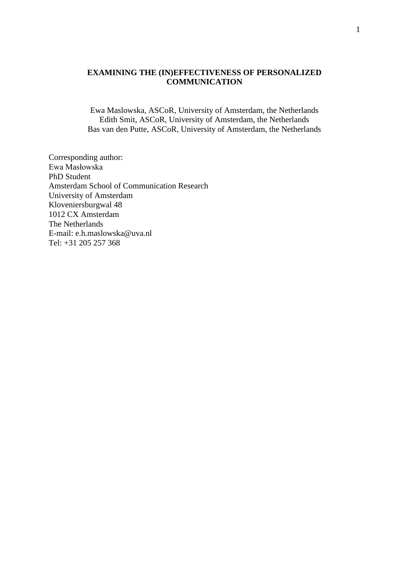## **EXAMINING THE (IN)EFFECTIVENESS OF PERSONALIZED COMMUNICATION**

Ewa Maslowska, ASCoR, University of Amsterdam, the Netherlands Edith Smit, ASCoR, University of Amsterdam, the Netherlands Bas van den Putte, ASCoR, University of Amsterdam, the Netherlands

Corresponding author: Ewa Masłowska PhD Student Amsterdam School of Communication Research University of Amsterdam Kloveniersburgwal 48 1012 CX Amsterdam The Netherlands E-mail: [e.h.maslowska@uva.nl](mailto:e.h.maslowska@uva.nl) Tel: +31 205 257 368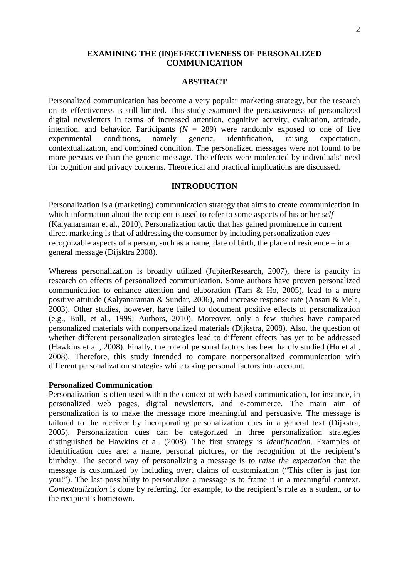## **EXAMINING THE (IN)EFFECTIVENESS OF PERSONALIZED COMMUNICATION**

#### **ABSTRACT**

Personalized communication has become a very popular marketing strategy, but the research on its effectiveness is still limited. This study examined the persuasiveness of personalized digital newsletters in terms of increased attention, cognitive activity, evaluation, attitude, intention, and behavior. Participants  $(N = 289)$  were randomly exposed to one of five experimental conditions, namely generic, identification, raising expectation, contextualization, and combined condition. The personalized messages were not found to be more persuasive than the generic message. The effects were moderated by individuals' need for cognition and privacy concerns. Theoretical and practical implications are discussed.

#### **INTRODUCTION**

Personalization is a (marketing) communication strategy that aims to create communication in which information about the recipient is used to refer to some aspects of his or her *self* (Kalyanaraman et al., 2010). Personalization tactic that has gained prominence in current direct marketing is that of addressing the consumer by including personalization *cues* – recognizable aspects of a person, such as a name, date of birth, the place of residence – in a general message (Dijsktra 2008).

Whereas personalization is broadly utilized (JupiterResearch, 2007), there is paucity in research on effects of personalized communication. Some authors have proven personalized communication to enhance attention and elaboration (Tam & Ho, 2005), lead to a more positive attitude (Kalyanaraman & Sundar, 2006), and increase response rate (Ansari & Mela, 2003). Other studies, however, have failed to document positive effects of personalization (e.g., Bull, et al., 1999; Authors, 2010). Moreover, only a few studies have compared personalized materials with nonpersonalized materials (Dijkstra, 2008). Also, the question of whether different personalization strategies lead to different effects has yet to be addressed (Hawkins et al., 2008). Finally, the role of personal factors has been hardly studied (Ho et al., 2008). Therefore, this study intended to compare nonpersonalized communication with different personalization strategies while taking personal factors into account.

#### **Personalized Communication**

Personalization is often used within the context of web-based communication, for instance, in personalized web pages, digital newsletters, and e-commerce. The main aim of personalization is to make the message more meaningful and persuasive. The message is tailored to the receiver by incorporating personalization cues in a general text (Dijkstra, 2005). Personalization cues can be categorized in three personalization strategies distinguished be Hawkins et al. (2008). The first strategy is *identification*. Examples of identification cues are: a name, personal pictures, or the recognition of the recipient's birthday. The second way of personalizing a message is to *raise the expectation* that the message is customized by including overt claims of customization ("This offer is just for you!"). The last possibility to personalize a message is to frame it in a meaningful context. *Contextualization* is done by referring, for example, to the recipient's role as a student, or to the recipient's hometown.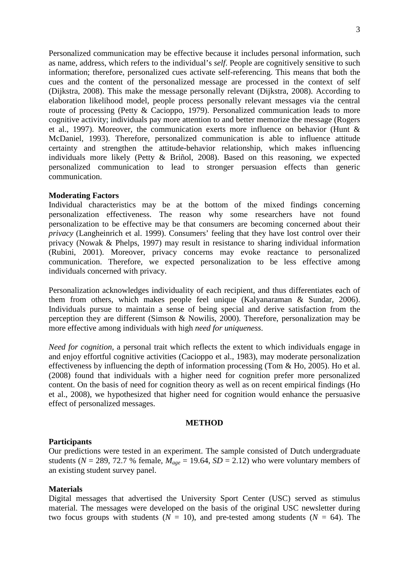Personalized communication may be effective because it includes personal information, such as name, address, which refers to the individual's *self*. People are cognitively sensitive to such information; therefore, personalized cues activate self-referencing. This means that both the cues and the content of the personalized message are processed in the context of self (Dijkstra, 2008). This make the message personally relevant (Dijkstra, 2008). According to elaboration likelihood model, people process personally relevant messages via the central route of processing (Petty & Cacioppo, 1979). Personalized communication leads to more cognitive activity; individuals pay more attention to and better memorize the message (Rogers et al., 1997). Moreover, the communication exerts more influence on behavior (Hunt & McDaniel, 1993). Therefore, personalized communication is able to influence attitude certainty and strengthen the attitude-behavior relationship, which makes influencing individuals more likely (Petty & Briñol, 2008). Based on this reasoning, we expected personalized communication to lead to stronger persuasion effects than generic communication.

## **Moderating Factors**

Individual characteristics may be at the bottom of the mixed findings concerning personalization effectiveness. The reason why some researchers have not found personalization to be effective may be that consumers are becoming concerned about their *privacy* (Langheinrich et al. 1999). Consumers' feeling that they have lost control over their privacy (Nowak & Phelps, 1997) may result in resistance to sharing individual information (Rubini, 2001). Moreover, privacy concerns may evoke reactance to personalized communication. Therefore, we expected personalization to be less effective among individuals concerned with privacy.

Personalization acknowledges individuality of each recipient, and thus differentiates each of them from others, which makes people feel unique (Kalyanaraman & Sundar, 2006). Individuals pursue to maintain a sense of being special and derive satisfaction from the perception they are different (Simson & Nowilis, 2000). Therefore, personalization may be more effective among individuals with high *need for uniqueness*.

*Need for cognition*, a personal trait which reflects the extent to which individuals engage in and enjoy effortful cognitive activities (Cacioppo et al., 1983), may moderate personalization effectiveness by influencing the depth of information processing (Tom & Ho, 2005). Ho et al. (2008) found that individuals with a higher need for cognition prefer more personalized content. On the basis of need for cognition theory as well as on recent empirical findings (Ho et al., 2008), we hypothesized that higher need for cognition would enhance the persuasive effect of personalized messages.

#### **METHOD**

#### **Participants**

Our predictions were tested in an experiment. The sample consisted of Dutch undergraduate students ( $N = 289$ , 72.7 % female,  $M_{age} = 19.64$ ,  $SD = 2.12$ ) who were voluntary members of an existing student survey panel.

## **Materials**

Digital messages that advertised the University Sport Center (USC) served as stimulus material. The messages were developed on the basis of the original USC newsletter during two focus groups with students ( $N = 10$ ), and pre-tested among students ( $N = 64$ ). The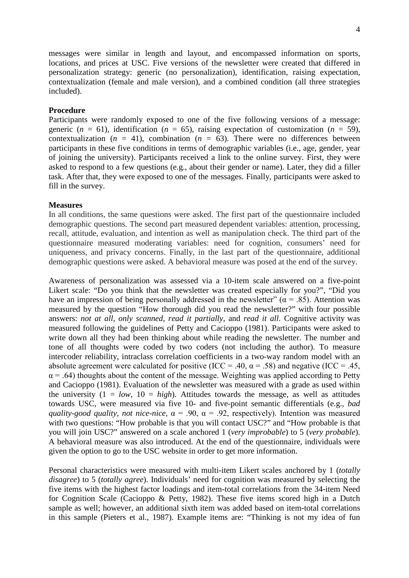messages were similar in length and layout, and encompassed information on sports, locations, and prices at USC. Five versions of the newsletter were created that differed in personalization strategy: generic (no personalization), identification, raising expectation, contextualization (female and male version), and a combined condition (all three strategies included).

## **Procedure**

Participants were randomly exposed to one of the five following versions of a message: generic ( $n = 61$ ), identification ( $n = 65$ ), raising expectation of customization ( $n = 59$ ), contextualization  $(n = 41)$ , combination  $(n = 63)$ . There were no differences between participants in these five conditions in terms of demographic variables (i.e., age, gender, year of joining the university). Participants received a link to the online survey. First, they were asked to respond to a few questions (e.g., about their gender or name). Later, they did a filler task. After that, they were exposed to one of the messages. Finally, participants were asked to fill in the survey.

## **Measures**

In all conditions, the same questions were asked. The first part of the questionnaire included demographic questions. The second part measured dependent variables: attention, processing, recall, attitude, evaluation, and intention as well as manipulation check. The third part of the questionnaire measured moderating variables: need for cognition, consumers' need for uniqueness, and privacy concerns. Finally, in the last part of the questionnaire, additional demographic questions were asked. A behavioral measure was posed at the end of the survey.

Awareness of personalization was assessed via a 10-item scale answered on a five-point Likert scale: "Do you think that the newsletter was created especially for you?", "Did you have an impression of being personally addressed in the newsletter" ( $\alpha$  = .85). Attention was measured by the question "How thorough did you read the newsletter?" with four possible answers: *not at all*, *only scanned*, *read it partially*, and *read it all*. Cognitive activity was measured following the guidelines of Petty and Cacioppo (1981). Participants were asked to write down all they had been thinking about while reading the newsletter. The number and tone of all thoughts were coded by two coders (not including the author). To measure intercoder reliability, intraclass correlation coefficients in a two-way random model with an absolute agreement were calculated for positive (ICC = .40,  $\alpha$  = .58) and negative (ICC = .45,  $\alpha$  = .64) thoughts about the content of the message. Weighting was applied according to Petty and Cacioppo (1981). Evaluation of the newsletter was measured with a grade as used within the university  $(1 = low, 10 = high)$ . Attitudes towards the message, as well as attitudes towards USC, were measured via five 10- and five-point semantic differentials (e.g., *bad quality-good quality*, *not nice-nice,* α = .90, α = .92, respectively). Intention was measured with two questions: "How probable is that you will contact USC?" and "How probable is that you will join USC?" answered on a scale anchored 1 (*very improbable*) to 5 (*very probable*). A behavioral measure was also introduced. At the end of the questionnaire, individuals were given the option to go to the USC website in order to get more information.

Personal characteristics were measured with multi-item Likert scales anchored by 1 (*totally disagree*) to 5 (*totally agree*). Individuals' need for cognition was measured by selecting the five items with the highest factor loadings and item-total correlations from the 34-item Need for Cognition Scale (Cacioppo & Petty, 1982). These five items scored high in a Dutch sample as well; however, an additional sixth item was added based on item-total correlations in this sample (Pieters et al., 1987). Example items are: "Thinking is not my idea of fun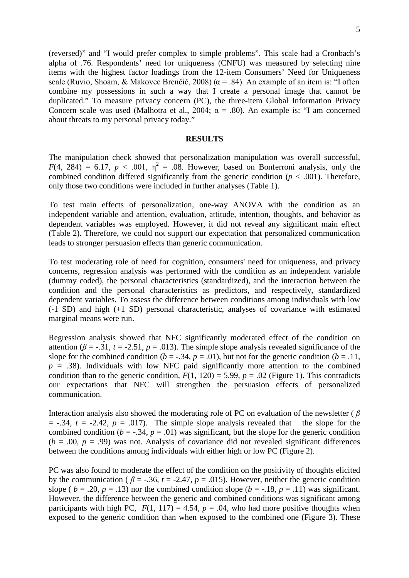(reversed)" and "I would prefer complex to simple problems". This scale had a Cronbach's alpha of .76. Respondents' need for uniqueness (CNFU) was measured by selecting nine items with the highest factor loadings from the 12-item Consumers' Need for Uniqueness scale (Ruvio, Shoam, & Makovec Brenčič, 2008) ( $\alpha$  = .84). An example of an item is: "I often combine my possessions in such a way that I create a personal image that cannot be duplicated." To measure privacy concern (PC), the three-item Global Information Privacy Concern scale was used (Malhotra et al., 2004;  $\alpha = .80$ ). An example is: "I am concerned about threats to my personal privacy today."

#### **RESULTS**

The manipulation check showed that personalization manipulation was overall successful,  $F(4, 284) = 6.17$ ,  $p < .001$ ,  $\eta^2 = .08$ . However, based on Bonferroni analysis, only the combined condition differed significantly from the generic condition  $(p < .001)$ . Therefore, only those two conditions were included in further analyses (Table 1).

To test main effects of personalization, one-way ANOVA with the condition as an independent variable and attention, evaluation, attitude, intention, thoughts, and behavior as dependent variables was employed. However, it did not reveal any significant main effect (Table 2). Therefore, we could not support our expectation that personalized communication leads to stronger persuasion effects than generic communication.

To test moderating role of need for cognition, consumers' need for uniqueness, and privacy concerns, regression analysis was performed with the condition as an independent variable (dummy coded), the personal characteristics (standardized), and the interaction between the condition and the personal characteristics as predictors, and respectively, standardized dependent variables. To assess the difference between conditions among individuals with low (-1 SD) and high (+1 SD) personal characteristic, analyses of covariance with estimated marginal means were run.

Regression analysis showed that NFC significantly moderated effect of the condition on attention ( $\beta$  = -.31,  $t$  = -2.51,  $p$  = .013). The simple slope analysis revealed significance of the slope for the combined condition ( $b = -0.34$ ,  $p = 0.01$ ), but not for the generic condition ( $b = 0.11$ ,  $p = .38$ ). Individuals with low NFC paid significantly more attention to the combined condition than to the generic condition,  $F(1, 120) = 5.99$ ,  $p = .02$  (Figure 1). This contradicts our expectations that NFC will strengthen the persuasion effects of personalized communication.

Interaction analysis also showed the moderating role of PC on evaluation of the newsletter ( *β*  $= -0.34$ ,  $t = -2.42$ ,  $p = 0.017$ ). The simple slope analysis revealed that the slope for the combined condition ( $b = -0.34$ ,  $p = 0.01$ ) was significant, but the slope for the generic condition  $(b = .00, p = .99)$  was not. Analysis of covariance did not revealed significant differences between the conditions among individuals with either high or low PC (Figure 2).

PC was also found to moderate the effect of the condition on the positivity of thoughts elicited by the communication ( $\beta$  = -.36,  $t$  = -2.47,  $p$  = .015). However, neither the generic condition slope (  $b = .20$ ,  $p = .13$ ) nor the combined condition slope ( $b = -.18$ ,  $p = .11$ ) was significant. However, the difference between the generic and combined conditions was significant among participants with high PC,  $F(1, 117) = 4.54$ ,  $p = .04$ , who had more positive thoughts when exposed to the generic condition than when exposed to the combined one (Figure 3). These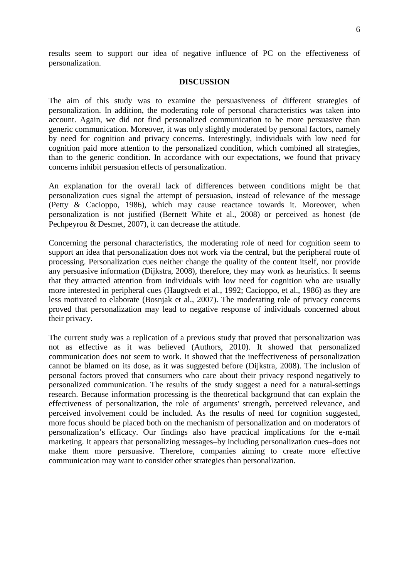results seem to support our idea of negative influence of PC on the effectiveness of personalization.

#### **DISCUSSION**

The aim of this study was to examine the persuasiveness of different strategies of personalization. In addition, the moderating role of personal characteristics was taken into account. Again, we did not find personalized communication to be more persuasive than generic communication. Moreover, it was only slightly moderated by personal factors, namely by need for cognition and privacy concerns. Interestingly, individuals with low need for cognition paid more attention to the personalized condition, which combined all strategies, than to the generic condition. In accordance with our expectations, we found that privacy concerns inhibit persuasion effects of personalization.

An explanation for the overall lack of differences between conditions might be that personalization cues signal the attempt of persuasion, instead of relevance of the message (Petty & Cacioppo, 1986), which may cause reactance towards it. Moreover, when personalization is not justified (Bernett White et al., 2008) or perceived as honest (de Pechpeyrou & Desmet, 2007), it can decrease the attitude.

Concerning the personal characteristics, the moderating role of need for cognition seem to support an idea that personalization does not work via the central, but the peripheral route of processing. Personalization cues neither change the quality of the content itself, nor provide any persuasive information (Dijkstra, 2008), therefore, they may work as heuristics. It seems that they attracted attention from individuals with low need for cognition who are usually more interested in peripheral cues (Haugtvedt et al., 1992; Cacioppo, et al., 1986) as they are less motivated to elaborate (Bosnjak et al., 2007). The moderating role of privacy concerns proved that personalization may lead to negative response of individuals concerned about their privacy.

The current study was a replication of a previous study that proved that personalization was not as effective as it was believed (Authors, 2010). It showed that personalized communication does not seem to work. It showed that the ineffectiveness of personalization cannot be blamed on its dose, as it was suggested before (Dijkstra, 2008). The inclusion of personal factors proved that consumers who care about their privacy respond negatively to personalized communication. The results of the study suggest a need for a natural-settings research. Because information processing is the theoretical background that can explain the effectiveness of personalization, the role of arguments' strength, perceived relevance, and perceived involvement could be included. As the results of need for cognition suggested, more focus should be placed both on the mechanism of personalization and on moderators of personalization's efficacy. Our findings also have practical implications for the e-mail marketing. It appears that personalizing messages–by including personalization cues–does not make them more persuasive. Therefore, companies aiming to create more effective communication may want to consider other strategies than personalization.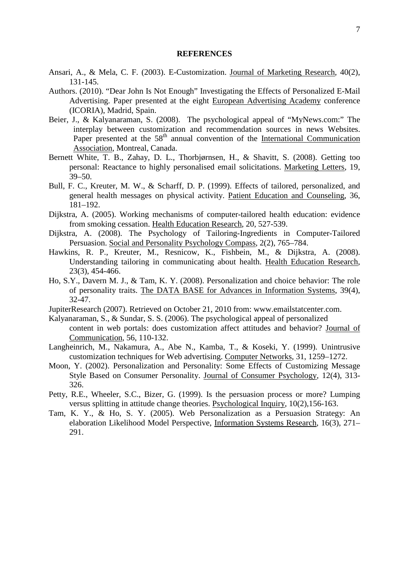#### **REFERENCES**

- Ansari, A., & Mela, C. F. (2003). E-Customization. Journal of Marketing Research, 40(2), 131-145.
- Authors. (2010). "Dear John Is Not Enough" Investigating the Effects of Personalized E-Mail Advertising. Paper presented at the eight European Advertising Academy conference (ICORIA), Madrid, Spain.
- Beier, J., & Kalyanaraman, S. (2008). The psychological appeal of "MyNews.com:" The interplay between customization and recommendation sources in news Websites. Paper presented at the 58<sup>th</sup> annual convention of the <u>International Communication</u> Association, Montreal, Canada.
- Bernett White, T. B., Zahay, D. L., Thorbjørnsen, H., & Shavitt, S. (2008). Getting too personal: Reactance to highly personalised email solicitations. Marketing Letters, 19, 39–50.
- Bull, F. C., Kreuter, M. W., & Scharff, D. P. (1999). Effects of tailored, personalized, and general health messages on physical activity. Patient Education and Counseling, 36, 181–192.
- Dijkstra, A. (2005). Working mechanisms of computer-tailored health education: evidence from smoking cessation. Health Education Research, 20, 527-539.
- Dijkstra, A. (2008). The Psychology of Tailoring-Ingredients in Computer-Tailored Persuasion. Social and Personality Psychology Compass, 2(2), 765–784.
- Hawkins, R. P., Kreuter, M., Resnicow, K., Fishbein, M., & Dijkstra, A. (2008). Understanding tailoring in communicating about health. Health Education Research, 23(3), 454-466.
- Ho, S.Y., Davern M. J., & Tam, K. Y. (2008). Personalization and choice behavior: The role of personality traits. The DATA BASE for Advances in Information Systems, 39(4), 32-47.
- JupiterResearch (2007). Retrieved on October 21, 2010 from: www.emailstatcenter.com.
- Kalyanaraman, S., & Sundar, S. S. (2006). The psychological appeal of personalized content in web portals: does customization affect attitudes and behavior? Journal of Communication , 56, 110-132.
- Langheinrich, M., Nakamura, A., Abe N., Kamba, T., & Koseki, Y. (1999). Unintrusive customization techniques for Web advertising. Computer Networks, 31, 1259–1272.
- Moon, Y. (2002). Personalization and Personality: Some Effects of Customizing Message Style Based on Consumer Personality. Journal of Consumer Psychology, 12(4), 313-326.
- Petty, R.E., Wheeler, S.C., Bizer, G. (1999). Is the persuasion process or more? Lumping versus splitting in attitude change theories. Psychological Inquiry, 10(2), 156-163.
- Tam, K. Y., & Ho, S. Y. (2005). Web Personalization as a Persuasion Strategy: An elaboration Likelihood Model Perspective, Information Systems Research, 16(3), 271– 291.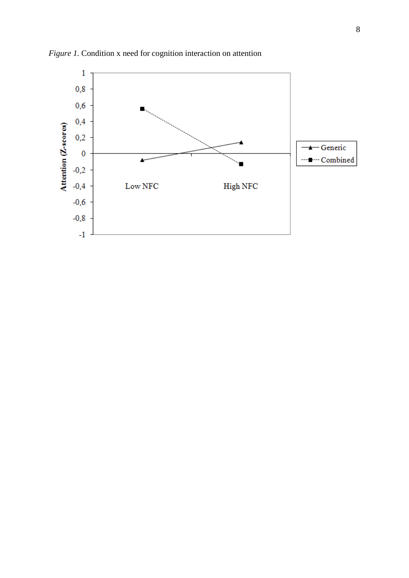

*Figure 1.* Condition x need for cognition interaction on attention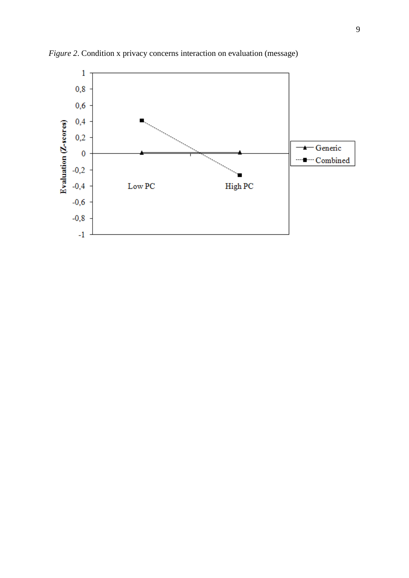

*Figure 2*. Condition x privacy concerns interaction on evaluation (message)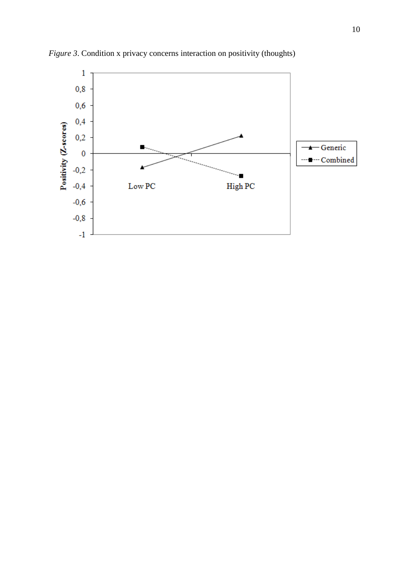

*Figure 3*. Condition x privacy concerns interaction on positivity (thoughts)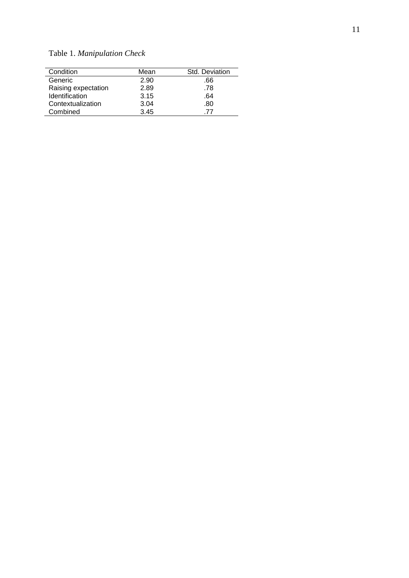| Condition           | Mean | Std. Deviation |  |
|---------------------|------|----------------|--|
| Generic             | 2.90 | .66            |  |
| Raising expectation | 2.89 | .78            |  |
| Identification      | 3.15 | .64            |  |
| Contextualization   | 3.04 | .80            |  |
| Combined            | 3.45 | -77            |  |

Table 1. *Manipulation Check*